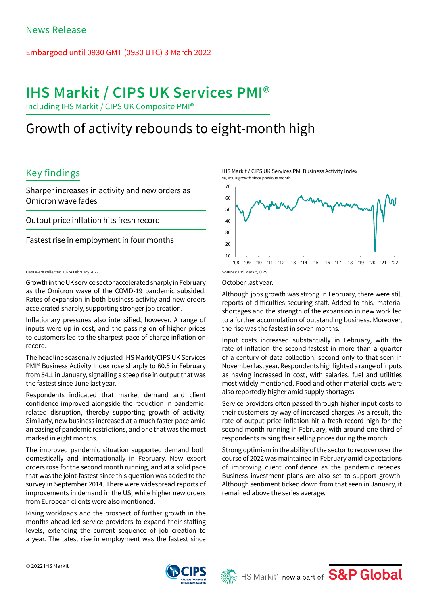## Embargoed until 0930 GMT (0930 UTC) 3 March 2022

# **IHS Markit / CIPS UK Services PMI®**

Including IHS Markit / CIPS UK Composite PMI®

# Growth of activity rebounds to eight-month high

# Key findings

Sharper increases in activity and new orders as Omicron wave fades

Output price inflation hits fresh record

Fastest rise in employment in four months

Data were collected 10-24 February 2022.

Growth in the UK service sector accelerated sharply in February as the Omicron wave of the COVID-19 pandemic subsided. Rates of expansion in both business activity and new orders accelerated sharply, supporting stronger job creation.

Inflationary pressures also intensified, however. A range of inputs were up in cost, and the passing on of higher prices to customers led to the sharpest pace of charge inflation on record.

The headline seasonally adjusted IHS Markit/CIPS UK Services PMI® Business Activity Index rose sharply to 60.5 in February from 54.1 in January, signalling a steep rise in output that was the fastest since June last year.

Respondents indicated that market demand and client confidence improved alongside the reduction in pandemicrelated disruption, thereby supporting growth of activity. Similarly, new business increased at a much faster pace amid an easing of pandemic restrictions, and one that was the most marked in eight months.

The improved pandemic situation supported demand both domestically and internationally in February. New export orders rose for the second month running, and at a solid pace that was the joint-fastest since this question was added to the survey in September 2014. There were widespread reports of improvements in demand in the US, while higher new orders from European clients were also mentioned.

Rising workloads and the prospect of further growth in the months ahead led service providers to expand their staffing levels, extending the current sequence of job creation to a year. The latest rise in employment was the fastest since

IHS Markit / CIPS UK Services PMI Business Activity Index sa, >50 = growth since previous month



### October last year.

Although jobs growth was strong in February, there were still reports of difficulties securing staff. Added to this, material shortages and the strength of the expansion in new work led to a further accumulation of outstanding business. Moreover, the rise was the fastest in seven months.

Input costs increased substantially in February, with the rate of inflation the second-fastest in more than a quarter of a century of data collection, second only to that seen in November last year. Respondents highlighted a range of inputs as having increased in cost, with salaries, fuel and utilities most widely mentioned. Food and other material costs were also reportedly higher amid supply shortages.

Service providers often passed through higher input costs to their customers by way of increased charges. As a result, the rate of output price inflation hit a fresh record high for the second month running in February, with around one-third of respondents raising their selling prices during the month.

Strong optimism in the ability of the sector to recover over the course of 2022 was maintained in February amid expectations of improving client confidence as the pandemic recedes. Business investment plans are also set to support growth. Although sentiment ticked down from that seen in January, it remained above the series average.

IHS Markit<sup>®</sup> now a part of S&P Global

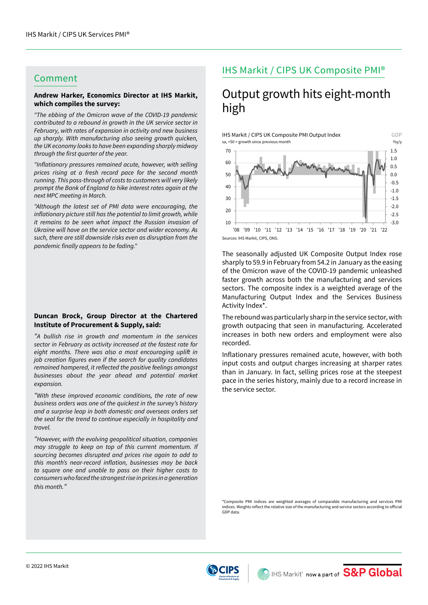# Comment

## **Andrew Harker, Economics Director at IHS Markit, which compiles the survey:**

*"The ebbing of the Omicron wave of the COVID-19 pandemic contributed to a rebound in growth in the UK service sector in February, with rates of expansion in activity and new business up sharply. With manufacturing also seeing growth quicken, the UK economy looks to have been expanding sharply midway*  through the first quarter of the year.

"Inflationary pressures remained acute, however, with selling *prices rising at a fresh record pace for the second month running. This pass-through of costs to customers will very likely prompt the Bank of England to hike interest rates again at the next MPC meeting in March.*

*"Although the latest set of PMI data were encouraging, the*  inflationary picture still has the potential to limit growth, while *it remains to be seen what impact the Russian invasion of Ukraine will have on the service sector and wider economy. As such, there are still downside risks even as disruption from the*  pandemic finally appears to be fading."

### **Duncan Brock, Group Director at the Chartered Institute of Procurement & Supply, said:**

*"A bullish rise in growth and momentum in the services sector in February as activity increased at the fastest rate for*  eight months. There was also a most encouraging uplift in job creation figures even if the search for quality candidates remained hampered, it reflected the positive feelings amongst *businesses about the year ahead and potential market expansion.*

*"With these improved economic conditions, the rate of new business orders was one of the quickest in the survey's history and a surprise leap in both domestic and overseas orders set the seal for the trend to continue especially in hospitality and travel.*

*"However, with the evolving geopolitical situation, companies may struggle to keep on top of this current momentum. If sourcing becomes disrupted and prices rise again to add to*  this month's near-record inflation, businesses may be back *to square one and unable to pass on their higher costs to consumers who faced the strongest rise in prices in a generation this month."*

# IHS Markit / CIPS UK Composite PMI®

# Output growth hits eight-month high



The seasonally adjusted UK Composite Output Index rose sharply to 59.9 in February from 54.2 in January as the easing of the Omicron wave of the COVID-19 pandemic unleashed faster growth across both the manufacturing and services sectors. The composite index is a weighted average of the Manufacturing Output Index and the Services Business Activity Index\*.

The rebound was particularly sharp in the service sector, with growth outpacing that seen in manufacturing. Accelerated increases in both new orders and employment were also recorded.

Inflationary pressures remained acute, however, with both input costs and output charges increasing at sharper rates than in January. In fact, selling prices rose at the steepest pace in the series history, mainly due to a record increase in the service sector.

\*Composite PMI indices are weighted averages of comparable manufacturing and services PMI indices. Weights reflect the relative size of the manufacturing and service sectors according to official GDP data.